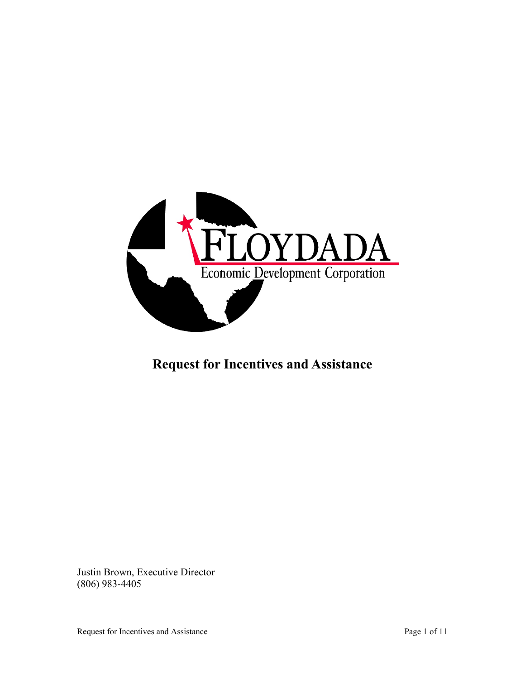

## **Request for Incentives and Assistance**

Justin Brown, Executive Director (806) 983-4405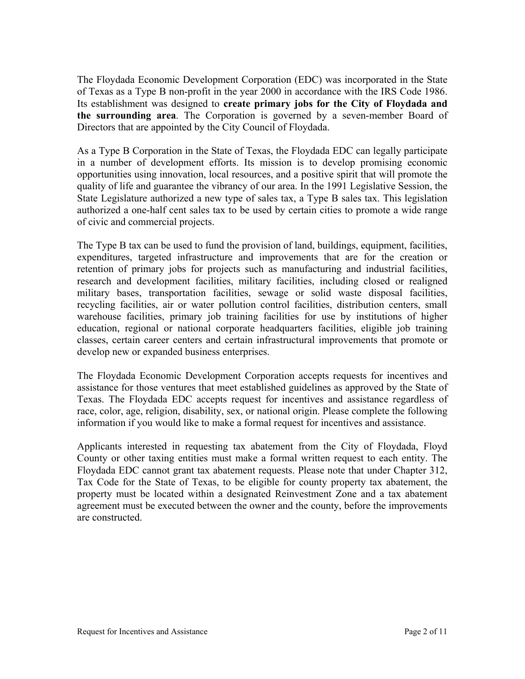The Floydada Economic Development Corporation (EDC) was incorporated in the State of Texas as a Type B non-profit in the year 2000 in accordance with the IRS Code 1986. Its establishment was designed to **create primary jobs for the City of Floydada and the surrounding area**. The Corporation is governed by a seven-member Board of Directors that are appointed by the City Council of Floydada.

As a Type B Corporation in the State of Texas, the Floydada EDC can legally participate in a number of development efforts. Its mission is to develop promising economic opportunities using innovation, local resources, and a positive spirit that will promote the quality of life and guarantee the vibrancy of our area. In the 1991 Legislative Session, the State Legislature authorized a new type of sales tax, a Type B sales tax. This legislation authorized a one-half cent sales tax to be used by certain cities to promote a wide range of civic and commercial projects.

The Type B tax can be used to fund the provision of land, buildings, equipment, facilities, expenditures, targeted infrastructure and improvements that are for the creation or retention of primary jobs for projects such as manufacturing and industrial facilities, research and development facilities, military facilities, including closed or realigned military bases, transportation facilities, sewage or solid waste disposal facilities, recycling facilities, air or water pollution control facilities, distribution centers, small warehouse facilities, primary job training facilities for use by institutions of higher education, regional or national corporate headquarters facilities, eligible job training classes, certain career centers and certain infrastructural improvements that promote or develop new or expanded business enterprises.

The Floydada Economic Development Corporation accepts requests for incentives and assistance for those ventures that meet established guidelines as approved by the State of Texas. The Floydada EDC accepts request for incentives and assistance regardless of race, color, age, religion, disability, sex, or national origin. Please complete the following information if you would like to make a formal request for incentives and assistance.

Applicants interested in requesting tax abatement from the City of Floydada, Floyd County or other taxing entities must make a formal written request to each entity. The Floydada EDC cannot grant tax abatement requests. Please note that under Chapter 312, Tax Code for the State of Texas, to be eligible for county property tax abatement, the property must be located within a designated Reinvestment Zone and a tax abatement agreement must be executed between the owner and the county, before the improvements are constructed.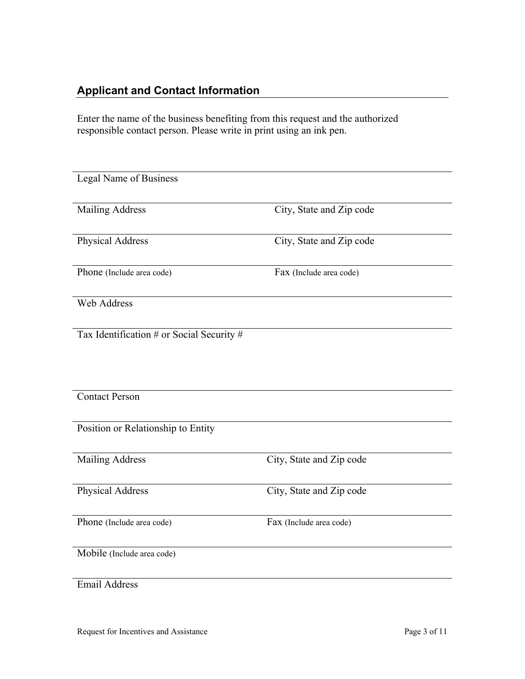### **Applicant and Contact Information**

Enter the name of the business benefiting from this request and the authorized responsible contact person. Please write in print using an ink pen.

| Legal Name of Business                    |                          |  |
|-------------------------------------------|--------------------------|--|
| <b>Mailing Address</b>                    | City, State and Zip code |  |
| Physical Address                          | City, State and Zip code |  |
| Phone (Include area code)                 | Fax (Include area code)  |  |
| Web Address                               |                          |  |
| Tax Identification # or Social Security # |                          |  |
|                                           |                          |  |
| <b>Contact Person</b>                     |                          |  |
| Position or Relationship to Entity        |                          |  |
| <b>Mailing Address</b>                    | City, State and Zip code |  |
| Physical Address                          | City, State and Zip code |  |
| Phone (Include area code)                 | Fax (Include area code)  |  |
| Mobile (Include area code)                |                          |  |
| <b>Email Address</b>                      |                          |  |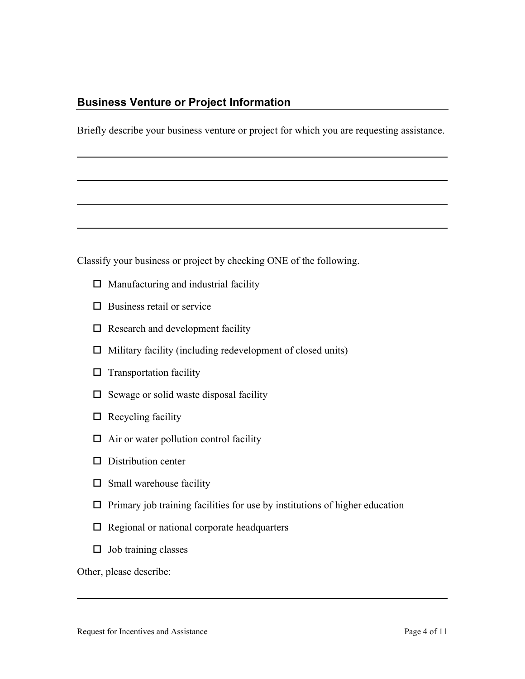#### **Business Venture or Project Information**

Briefly describe your business venture or project for which you are requesting assistance.

Classify your business or project by checking ONE of the following.

- $\Box$  Manufacturing and industrial facility
- $\square$  Business retail or service
- $\square$  Research and development facility
- $\Box$  Military facility (including redevelopment of closed units)
- $\square$  Transportation facility
- $\square$  Sewage or solid waste disposal facility
- $\Box$  Recycling facility
- $\Box$  Air or water pollution control facility
- $\square$  Distribution center
- $\square$  Small warehouse facility
- $\Box$  Primary job training facilities for use by institutions of higher education
- $\Box$  Regional or national corporate headquarters
- $\Box$  Job training classes

Other, please describe: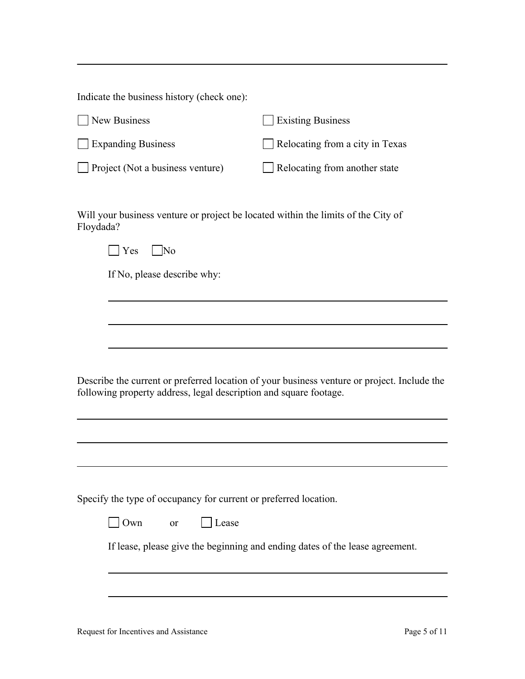Indicate the business history (check one):

| New Business                     | <b>Existing Business</b>        |
|----------------------------------|---------------------------------|
| Expanding Business               | Relocating from a city in Texas |
| Project (Not a business venture) | Relocating from another state   |

Will your business venture or project be located within the limits of the City of Floydada?

If No, please describe why:

Describe the current or preferred location of your business venture or project. Include the following property address, legal description and square footage.

Specify the type of occupancy for current or preferred location.

| l Own | or | l Lease |
|-------|----|---------|
|-------|----|---------|

If lease, please give the beginning and ending dates of the lease agreement.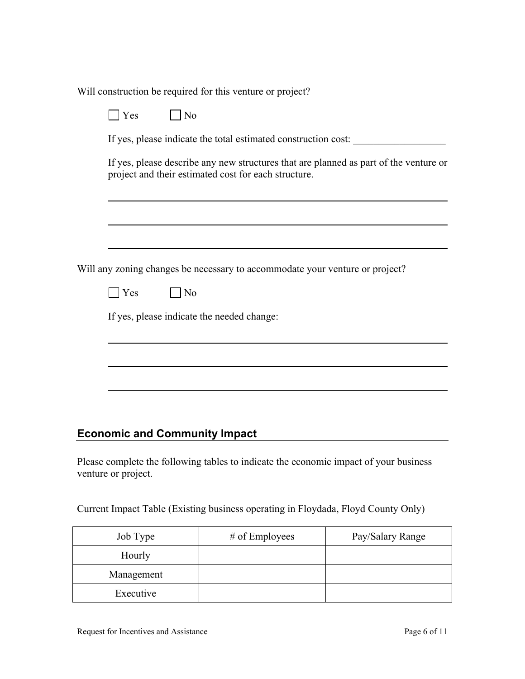Will construction be required for this venture or project?

| No<br>Yes                                                                                                                                     |
|-----------------------------------------------------------------------------------------------------------------------------------------------|
| If yes, please indicate the total estimated construction cost:                                                                                |
| If yes, please describe any new structures that are planned as part of the venture or<br>project and their estimated cost for each structure. |
|                                                                                                                                               |
| Will any zoning changes be necessary to accommodate your venture or project?                                                                  |
| <b>Yes</b><br>$\overline{\phantom{a}}$ No                                                                                                     |
| If yes, please indicate the needed change:                                                                                                    |
|                                                                                                                                               |
|                                                                                                                                               |
|                                                                                                                                               |
|                                                                                                                                               |
|                                                                                                                                               |
| <b>Economic and Community Impact</b>                                                                                                          |

Please complete the following tables to indicate the economic impact of your business venture or project.

Current Impact Table (Existing business operating in Floydada, Floyd County Only)

| Job Type   | # of Employees | Pay/Salary Range |
|------------|----------------|------------------|
| Hourly     |                |                  |
| Management |                |                  |
| Executive  |                |                  |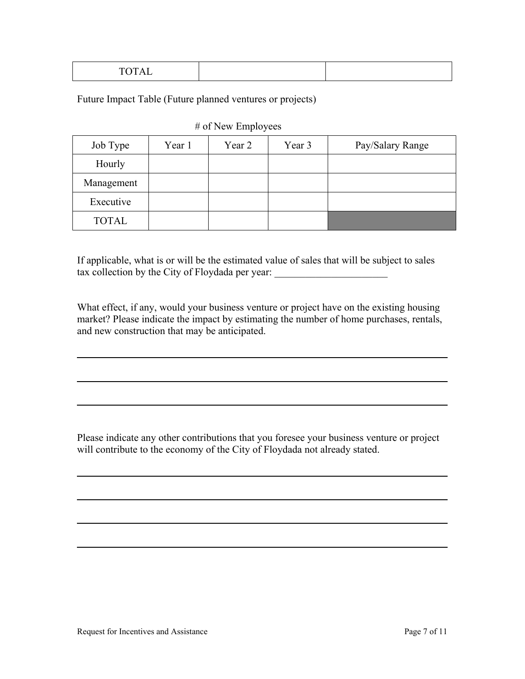|--|--|--|

Future Impact Table (Future planned ventures or projects)

#### # of New Employees

| Job Type     | Year 1 | Year 2 | Year 3 | Pay/Salary Range |
|--------------|--------|--------|--------|------------------|
| Hourly       |        |        |        |                  |
| Management   |        |        |        |                  |
| Executive    |        |        |        |                  |
| <b>TOTAL</b> |        |        |        |                  |

If applicable, what is or will be the estimated value of sales that will be subject to sales tax collection by the City of Floydada per year:

What effect, if any, would your business venture or project have on the existing housing market? Please indicate the impact by estimating the number of home purchases, rentals, and new construction that may be anticipated.

Please indicate any other contributions that you foresee your business venture or project will contribute to the economy of the City of Floydada not already stated.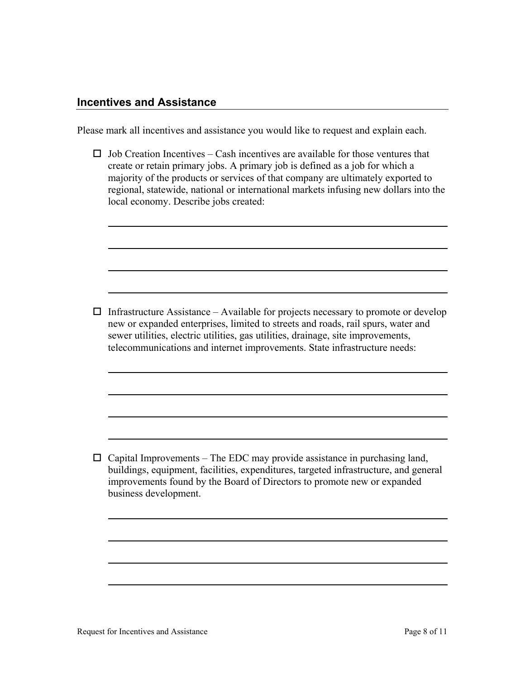#### **Incentives and Assistance**

Please mark all incentives and assistance you would like to request and explain each.

 $\Box$  Job Creation Incentives – Cash incentives are available for those ventures that create or retain primary jobs. A primary job is defined as a job for which a majority of the products or services of that company are ultimately exported to regional, statewide, national or international markets infusing new dollars into the local economy. Describe jobs created:

 $\Box$  Infrastructure Assistance – Available for projects necessary to promote or develop new or expanded enterprises, limited to streets and roads, rail spurs, water and sewer utilities, electric utilities, gas utilities, drainage, site improvements, telecommunications and internet improvements. State infrastructure needs:

 $\Box$  Capital Improvements – The EDC may provide assistance in purchasing land, buildings, equipment, facilities, expenditures, targeted infrastructure, and general improvements found by the Board of Directors to promote new or expanded business development.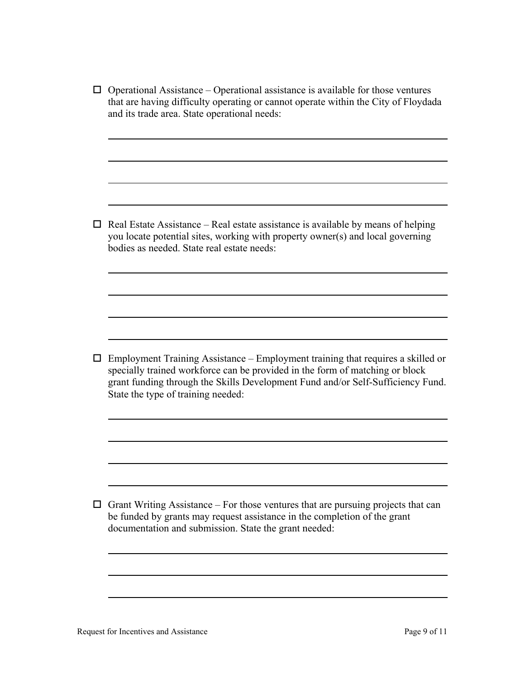$\Box$  Operational Assistance – Operational assistance is available for those ventures that are having difficulty operating or cannot operate within the City of Floydada and its trade area. State operational needs:

 $\Box$  Real Estate Assistance – Real estate assistance is available by means of helping you locate potential sites, working with property owner(s) and local governing bodies as needed. State real estate needs:

 $\Box$  Employment Training Assistance – Employment training that requires a skilled or specially trained workforce can be provided in the form of matching or block grant funding through the Skills Development Fund and/or Self-Sufficiency Fund. State the type of training needed:

 $\Box$  Grant Writing Assistance – For those ventures that are pursuing projects that can be funded by grants may request assistance in the completion of the grant documentation and submission. State the grant needed: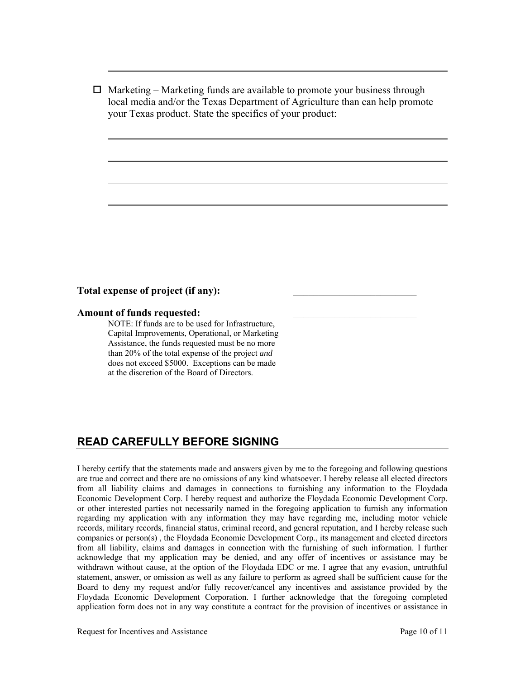$\Box$  Marketing – Marketing funds are available to promote your business through local media and/or the Texas Department of Agriculture than can help promote your Texas product. State the specifics of your product:

#### Total expense of project (if any):

# **Amount of funds requested:**<br>NOTE: If funds are to be used for Infrastructure,

Capital Improvements, Operational, or Marketing Assistance, the funds requested must be no more than 20% of the total expense of the project *and* does not exceed \$5000. Exceptions can be made at the discretion of the Board of Directors.

#### **READ CAREFULLY BEFORE SIGNING**

I hereby certify that the statements made and answers given by me to the foregoing and following questions are true and correct and there are no omissions of any kind whatsoever. I hereby release all elected directors from all liability claims and damages in connections to furnishing any information to the Floydada Economic Development Corp. I hereby request and authorize the Floydada Economic Development Corp. or other interested parties not necessarily named in the foregoing application to furnish any information regarding my application with any information they may have regarding me, including motor vehicle records, military records, financial status, criminal record, and general reputation, and I hereby release such companies or person(s) , the Floydada Economic Development Corp., its management and elected directors from all liability, claims and damages in connection with the furnishing of such information. I further acknowledge that my application may be denied, and any offer of incentives or assistance may be withdrawn without cause, at the option of the Floydada EDC or me. I agree that any evasion, untruthful statement, answer, or omission as well as any failure to perform as agreed shall be sufficient cause for the Board to deny my request and/or fully recover/cancel any incentives and assistance provided by the Floydada Economic Development Corporation. I further acknowledge that the foregoing completed application form does not in any way constitute a contract for the provision of incentives or assistance in